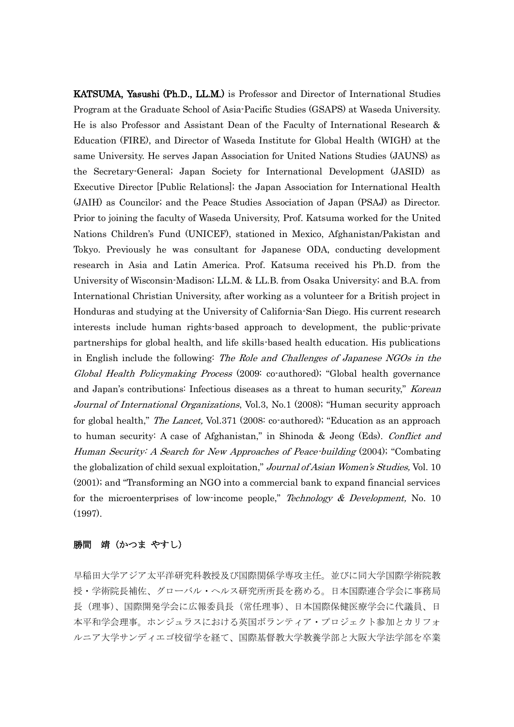KATSUMA, Yasushi (Ph.D., LL.M.) is Professor and Director of International Studies Program at the Graduate School of Asia-Pacific Studies (GSAPS) at Waseda University. He is also Professor and Assistant Dean of the Faculty of International Research & Education (FIRE), and Director of Waseda Institute for Global Health (WIGH) at the same University. He serves Japan Association for United Nations Studies (JAUNS) as the Secretary-General; Japan Society for International Development (JASID) as Executive Director [Public Relations]; the Japan Association for International Health (JAIH) as Councilor; and the Peace Studies Association of Japan (PSAJ) as Director. Prior to joining the faculty of Waseda University, Prof. Katsuma worked for the United Nations Children's Fund (UNICEF), stationed in Mexico, Afghanistan/Pakistan and Tokyo. Previously he was consultant for Japanese ODA, conducting development research in Asia and Latin America. Prof. Katsuma received his Ph.D. from the University of Wisconsin-Madison; LL.M. & LL.B. from Osaka University; and B.A. from International Christian University, after working as a volunteer for a British project in Honduras and studying at the University of California-San Diego. His current research interests include human rights-based approach to development, the public-private partnerships for global health, and life skills-based health education. His publications in English include the following: The Role and Challenges of Japanese NGOs in the Global Health Policymaking Process (2009: co-authored); "Global health governance and Japan's contributions: Infectious diseases as a threat to human security," Korean Journal of International Organizations, Vol.3, No.1 (2008); "Human security approach for global health," *The Lancet*, Vol.371 (2008: co-authored); "Education as an approach to human security: A case of Afghanistan," in Shinoda & Jeong (Eds). Conflict and Human Security: A Search for New Approaches of Peace-building (2004); "Combating the globalization of child sexual exploitation," Journal of Asian Women's Studies, Vol. 10 (2001); and "Transforming an NGO into a commercial bank to expand financial services for the microenterprises of low-income people," Technology  $& Development$ , No. 10 (1997).

## 勝間 靖(かつま やすし)

早稲田大学アジア太平洋研究科教授及び国際関係学専攻主任。並びに同大学国際学術院教 授・学術院長補佐、グローバル・ヘルス研究所所長を務める。日本国際連合学会に事務局 長(理事)、国際開発学会に広報委員長(常任理事)、日本国際保健医療学会に代議員、日 本平和学会理事。ホンジュラスにおける英国ボランティア・プロジェクト参加とカリフォ ルニア大学サンディエゴ校留学を経て、国際基督教大学教養学部と大阪大学法学部を卒業